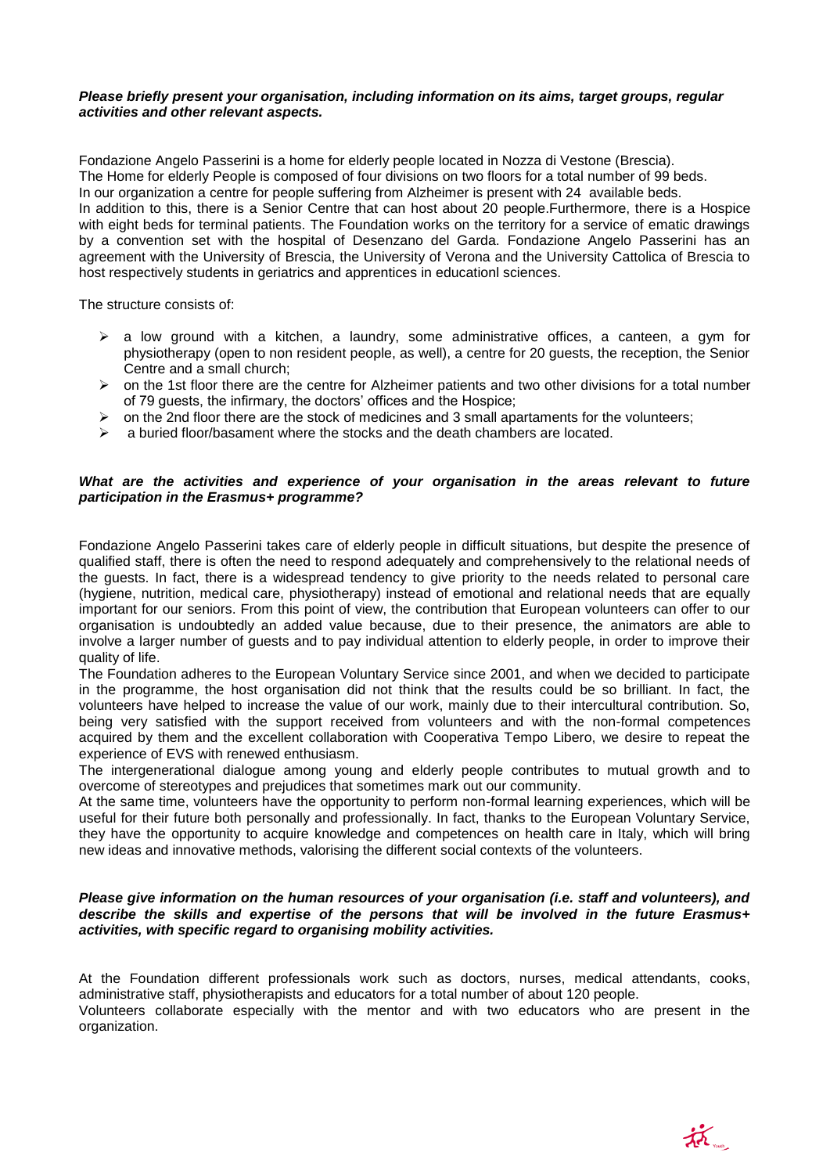### *Please briefly present your organisation, including information on its aims, target groups, regular activities and other relevant aspects.*

Fondazione Angelo Passerini is a home for elderly people located in Nozza di Vestone (Brescia). The Home for elderly People is composed of four divisions on two floors for a total number of 99 beds. In our organization a centre for people suffering from Alzheimer is present with 24 available beds. In addition to this, there is a Senior Centre that can host about 20 people.Furthermore, there is a Hospice with eight beds for terminal patients. The Foundation works on the territory for a service of ematic drawings by a convention set with the hospital of Desenzano del Garda. Fondazione Angelo Passerini has an agreement with the University of Brescia, the University of Verona and the University Cattolica of Brescia to host respectively students in geriatrics and apprentices in educationl sciences.

The structure consists of:

- $\triangleright$  a low ground with a kitchen, a laundry, some administrative offices, a canteen, a gym for physiotherapy (open to non resident people, as well), a centre for 20 guests, the reception, the Senior Centre and a small church;
- $\triangleright$  on the 1st floor there are the centre for Alzheimer patients and two other divisions for a total number of 79 guests, the infirmary, the doctors' offices and the Hospice;
- $\triangleright$  on the 2nd floor there are the stock of medicines and 3 small apartaments for the volunteers;
- $\geq$  a buried floor/basament where the stocks and the death chambers are located.

# What are the activities and experience of your organisation in the areas relevant to future *participation in the Erasmus+ programme?*

Fondazione Angelo Passerini takes care of elderly people in difficult situations, but despite the presence of qualified staff, there is often the need to respond adequately and comprehensively to the relational needs of the guests. In fact, there is a widespread tendency to give priority to the needs related to personal care (hygiene, nutrition, medical care, physiotherapy) instead of emotional and relational needs that are equally important for our seniors. From this point of view, the contribution that European volunteers can offer to our organisation is undoubtedly an added value because, due to their presence, the animators are able to involve a larger number of guests and to pay individual attention to elderly people, in order to improve their quality of life.

The Foundation adheres to the European Voluntary Service since 2001, and when we decided to participate in the programme, the host organisation did not think that the results could be so brilliant. In fact, the volunteers have helped to increase the value of our work, mainly due to their intercultural contribution. So, being very satisfied with the support received from volunteers and with the non-formal competences acquired by them and the excellent collaboration with Cooperativa Tempo Libero, we desire to repeat the experience of EVS with renewed enthusiasm.

The intergenerational dialogue among young and elderly people contributes to mutual growth and to overcome of stereotypes and prejudices that sometimes mark out our community.

At the same time, volunteers have the opportunity to perform non-formal learning experiences, which will be useful for their future both personally and professionally. In fact, thanks to the European Voluntary Service, they have the opportunity to acquire knowledge and competences on health care in Italy, which will bring new ideas and innovative methods, valorising the different social contexts of the volunteers.

## *Please give information on the human resources of your organisation (i.e. staff and volunteers), and describe the skills and expertise of the persons that will be involved in the future Erasmus+ activities, with specific regard to organising mobility activities.*

At the Foundation different professionals work such as doctors, nurses, medical attendants, cooks, administrative staff, physiotherapists and educators for a total number of about 120 people.

Volunteers collaborate especially with the mentor and with two educators who are present in the organization.

戒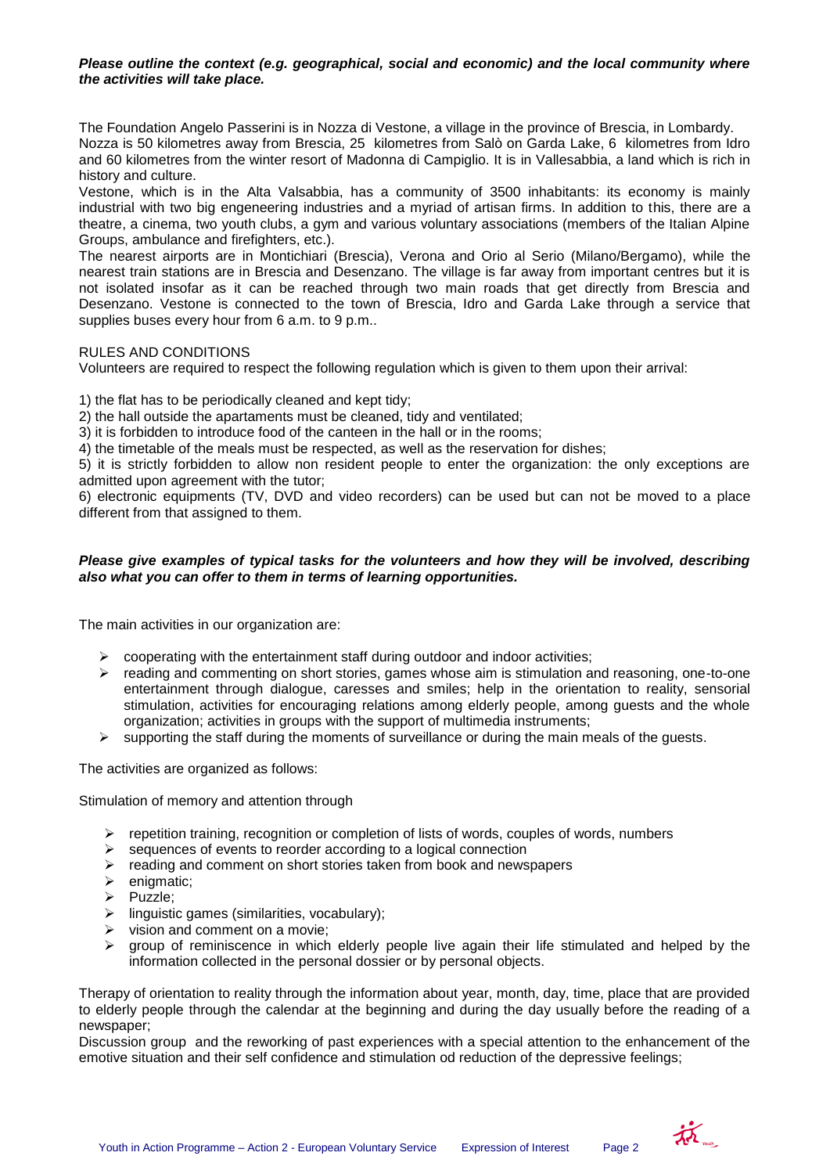# *Please outline the context (e.g. geographical, social and economic) and the local community where the activities will take place.*

The Foundation Angelo Passerini is in Nozza di Vestone, a village in the province of Brescia, in Lombardy. Nozza is 50 kilometres away from Brescia, 25 kilometres from Salò on Garda Lake, 6 kilometres from Idro and 60 kilometres from the winter resort of Madonna di Campiglio. It is in Vallesabbia, a land which is rich in history and culture.

Vestone, which is in the Alta Valsabbia, has a community of 3500 inhabitants: its economy is mainly industrial with two big engeneering industries and a myriad of artisan firms. In addition to this, there are a theatre, a cinema, two youth clubs, a gym and various voluntary associations (members of the Italian Alpine Groups, ambulance and firefighters, etc.).

The nearest airports are in Montichiari (Brescia), Verona and Orio al Serio (Milano/Bergamo), while the nearest train stations are in Brescia and Desenzano. The village is far away from important centres but it is not isolated insofar as it can be reached through two main roads that get directly from Brescia and Desenzano. Vestone is connected to the town of Brescia, Idro and Garda Lake through a service that supplies buses every hour from 6 a.m. to 9 p.m..

# RULES AND CONDITIONS

Volunteers are required to respect the following regulation which is given to them upon their arrival:

1) the flat has to be periodically cleaned and kept tidy;

2) the hall outside the apartaments must be cleaned, tidy and ventilated;

3) it is forbidden to introduce food of the canteen in the hall or in the rooms;

4) the timetable of the meals must be respected, as well as the reservation for dishes;

5) it is strictly forbidden to allow non resident people to enter the organization: the only exceptions are admitted upon agreement with the tutor;

6) electronic equipments (TV, DVD and video recorders) can be used but can not be moved to a place different from that assigned to them.

## *Please give examples of typical tasks for the volunteers and how they will be involved, describing also what you can offer to them in terms of learning opportunities.*

The main activities in our organization are:

- $\triangleright$  cooperating with the entertainment staff during outdoor and indoor activities;
- $\triangleright$  reading and commenting on short stories, games whose aim is stimulation and reasoning, one-to-one entertainment through dialogue, caresses and smiles; help in the orientation to reality, sensorial stimulation, activities for encouraging relations among elderly people, among guests and the whole organization; activities in groups with the support of multimedia instruments;
- $\triangleright$  supporting the staff during the moments of surveillance or during the main meals of the guests.

The activities are organized as follows:

Stimulation of memory and attention through

- $\triangleright$  repetition training, recognition or completion of lists of words, couples of words, numbers
- $\triangleright$  sequences of events to reorder according to a logical connection
- $\triangleright$  reading and comment on short stories taken from book and newspapers
- $\triangleright$  enigmatic;
- $\triangleright$  Puzzle;
- $\triangleright$  linguistic games (similarities, vocabulary);
- $\triangleright$  vision and comment on a movie;
- $\triangleright$  group of reminiscence in which elderly people live again their life stimulated and helped by the information collected in the personal dossier or by personal objects.

Therapy of orientation to reality through the information about year, month, day, time, place that are provided to elderly people through the calendar at the beginning and during the day usually before the reading of a newspaper;

Discussion group and the reworking of past experiences with a special attention to the enhancement of the emotive situation and their self confidence and stimulation od reduction of the depressive feelings;

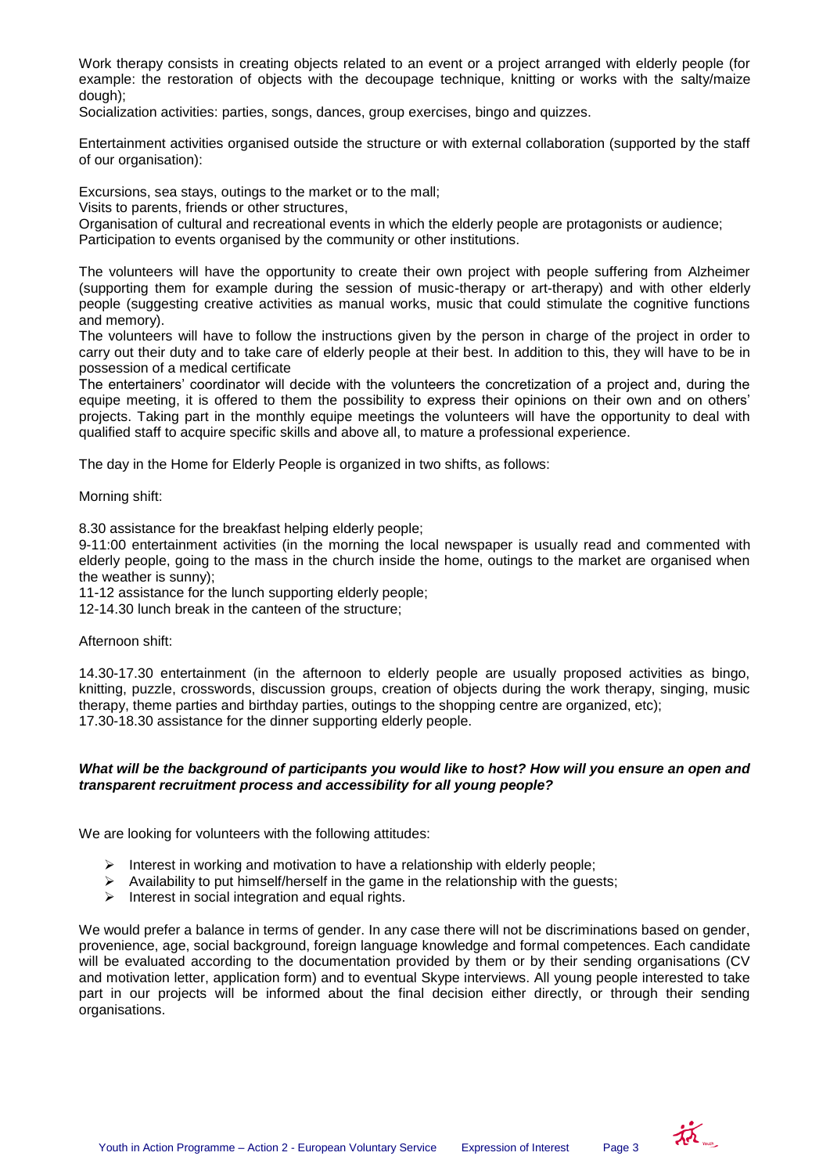Work therapy consists in creating objects related to an event or a project arranged with elderly people (for example: the restoration of objects with the decoupage technique, knitting or works with the salty/maize dough);

Socialization activities: parties, songs, dances, group exercises, bingo and quizzes.

Entertainment activities organised outside the structure or with external collaboration (supported by the staff of our organisation):

Excursions, sea stays, outings to the market or to the mall;

Visits to parents, friends or other structures,

Organisation of cultural and recreational events in which the elderly people are protagonists or audience;

Participation to events organised by the community or other institutions.

The volunteers will have the opportunity to create their own project with people suffering from Alzheimer (supporting them for example during the session of music-therapy or art-therapy) and with other elderly people (suggesting creative activities as manual works, music that could stimulate the cognitive functions and memory).

The volunteers will have to follow the instructions given by the person in charge of the project in order to carry out their duty and to take care of elderly people at their best. In addition to this, they will have to be in possession of a medical certificate

The entertainers' coordinator will decide with the volunteers the concretization of a project and, during the equipe meeting, it is offered to them the possibility to express their opinions on their own and on others' projects. Taking part in the monthly equipe meetings the volunteers will have the opportunity to deal with qualified staff to acquire specific skills and above all, to mature a professional experience.

The day in the Home for Elderly People is organized in two shifts, as follows:

Morning shift:

8.30 assistance for the breakfast helping elderly people;

9-11:00 entertainment activities (in the morning the local newspaper is usually read and commented with elderly people, going to the mass in the church inside the home, outings to the market are organised when the weather is sunny);

11-12 assistance for the lunch supporting elderly people;

12-14.30 lunch break in the canteen of the structure;

#### Afternoon shift:

14.30-17.30 entertainment (in the afternoon to elderly people are usually proposed activities as bingo, knitting, puzzle, crosswords, discussion groups, creation of objects during the work therapy, singing, music therapy, theme parties and birthday parties, outings to the shopping centre are organized, etc); 17.30-18.30 assistance for the dinner supporting elderly people.

### *What will be the background of participants you would like to host? How will you ensure an open and transparent recruitment process and accessibility for all young people?*

We are looking for volunteers with the following attitudes:

- Interest in working and motivation to have a relationship with elderly people;
- $\triangleright$  Availability to put himself/herself in the game in the relationship with the quests;
- $\triangleright$  Interest in social integration and equal rights.

We would prefer a balance in terms of gender. In any case there will not be discriminations based on gender, provenience, age, social background, foreign language knowledge and formal competences. Each candidate will be evaluated according to the documentation provided by them or by their sending organisations (CV and motivation letter, application form) and to eventual Skype interviews. All young people interested to take part in our projects will be informed about the final decision either directly, or through their sending organisations.